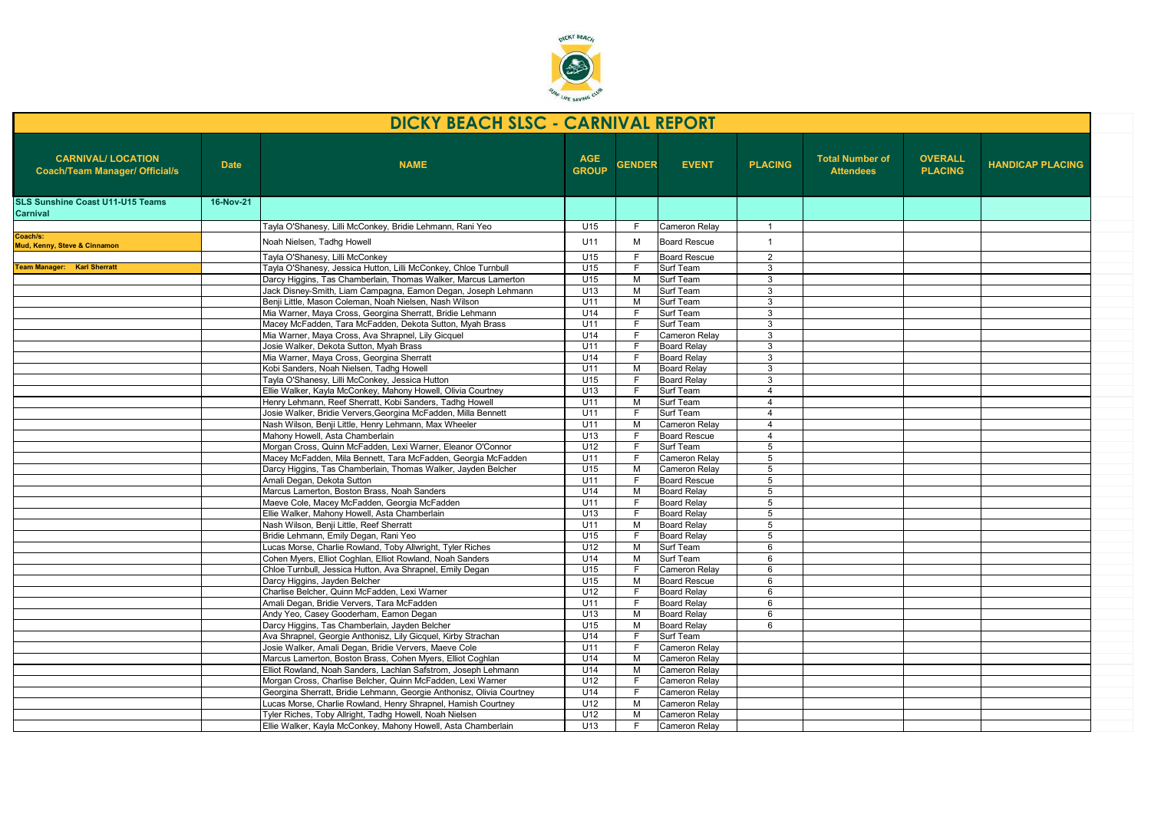

| <b>OVERALL</b><br><b>CARNIVAL/ LOCATION</b><br><b>AGE</b><br><b>Total Number of</b><br><b>PLACING</b><br><b>NAME</b><br><b>GENDER</b><br><b>EVENT</b><br><b>Date</b><br><b>GROUP</b><br><b>Coach/Team Manager/ Official/s</b><br><b>PLACING</b><br><b>Attendees</b><br>16-Nov-21<br><b>SLS Sunshine Coast U11-U15 Teams</b><br>Carnival<br>Tayla O'Shanesy, Lilli McConkey, Bridie Lehmann, Rani Yeo<br>U15<br>Cameron Relay<br>E<br>-1<br>U11<br>$\overline{1}$<br>M<br><b>Board Rescue</b><br>Noah Nielsen, Tadhg Howell<br>U15<br>Tayla O'Shanesy, Lilli McConkey<br><b>Board Rescue</b><br>$\overline{2}$<br>F.<br><b>Team Manager: Karl Sherratt</b><br>Tayla O'Shanesy, Jessica Hutton, Lilli McConkey, Chloe Turnbull<br>U15<br>Surf Team<br>E<br>3<br>Surf Team<br>Darcy Higgins, Tas Chamberlain, Thomas Walker, Marcus Lamerton<br>U15<br>M<br>3<br>U <sub>13</sub><br>Surf Team<br>Jack Disney-Smith, Liam Campagna, Eamon Degan, Joseph Lehmann<br>M<br>3<br>Benii Little, Mason Coleman, Noah Nielsen, Nash Wilson<br>U11<br>M<br>Surf Team<br>3<br>Mia Warner, Maya Cross, Georgina Sherratt, Bridie Lehmann<br>U14<br>Surf Team<br>3<br>Macey McFadden, Tara McFadden, Dekota Sutton, Myah Brass<br>U11<br>Surf Team<br>3<br>F.<br>Mia Warner, Maya Cross, Ava Shrapnel, Lily Gicquel<br>U14<br>Cameron Relay<br>F<br>3<br>Josie Walker, Dekota Sutton, Myah Brass<br>U11<br><b>Board Relav</b><br>3<br>Mia Warner, Maya Cross, Georgina Sherratt<br>U14<br>F<br><b>Board Relav</b><br>3<br>Kobi Sanders, Noah Nielsen, Tadhg Howell<br><b>Board Relay</b><br>U11<br>M<br>3<br>U15<br>Tayla O'Shanesy, Lilli McConkey, Jessica Hutton<br><b>Board Relav</b><br>3<br>Ellie Walker, Kayla McConkey, Mahony Howell, Olivia Courtney<br>U13<br>Surf Team<br>$\overline{4}$<br>F.<br>Surf Team<br>Henry Lehmann, Reef Sherratt, Kobi Sanders, Tadhg Howell<br>U11<br>M<br>$\overline{4}$<br>Surf Team<br>Josie Walker, Bridie Ververs, Georgina McFadden, Milla Bennett<br>U11<br>$\overline{4}$<br>Nash Wilson, Benji Little, Henry Lehmann, Max Wheeler<br>U11<br>M<br>Cameron Relay<br>$\overline{4}$<br>Mahony Howell, Asta Chamberlain<br>U13<br><b>Board Rescue</b><br>$\overline{4}$<br>E<br>Morgan Cross, Quinn McFadden, Lexi Warner, Eleanor O'Connor<br>Surf Team<br>$\overline{5}$<br>U12<br>E<br>Macey McFadden, Mila Bennett, Tara McFadden, Georgia McFadden<br>5<br>U11<br>F.<br>Cameron Relay<br>Darcy Higgins, Tas Chamberlain, Thomas Walker, Jayden Belcher<br>U15<br><b>Cameron Relav</b><br>$\overline{5}$<br>M<br>Amali Degan, Dekota Sutton<br>U11<br><b>Board Rescue</b><br>5<br>Marcus Lamerton, Boston Brass, Noah Sanders<br>U14<br><b>Board Relay</b><br>5<br>M<br>Maeve Cole, Macey McFadden, Georgia McFadden<br>U11<br>F<br><b>Board Relav</b><br>5<br>Ellie Walker, Mahony Howell, Asta Chamberlain<br>U13<br><b>Board Relay</b><br>Е<br>5<br>Nash Wilson, Benii Little, Reef Sherratt<br>U11<br>M<br><b>Board Relav</b><br>5<br>Bridie Lehmann, Emily Degan, Rani Yeo<br>U15<br>F<br><b>Board Relay</b><br>5<br>Lucas Morse, Charlie Rowland, Toby Allwright, Tyler Riches<br>U12<br>Surf Team<br>6<br>M<br>Cohen Myers, Elliot Coghlan, Elliot Rowland, Noah Sanders<br>U14<br>M<br>Surf Team<br>6<br>U15<br>Cameron Relay<br>Chloe Turnbull, Jessica Hutton, Ava Shrapnel, Emily Degan<br>F<br>6<br>U15<br>M<br>Darcy Higgins, Jayden Belcher<br><b>Board Rescue</b><br>6<br>Charlise Belcher, Quinn McFadden, Lexi Warner<br>U12<br>E<br><b>Board Relay</b><br>6<br>Amali Degan, Bridie Ververs, Tara McFadden<br>U11<br>E<br><b>Board Relay</b><br>6<br>Andy Yeo, Casey Gooderham, Eamon Degan<br>U13<br>M<br><b>Board Relav</b><br>6<br>U15<br>Darcy Higgins, Tas Chamberlain, Jayden Belcher<br>M<br><b>Board Relav</b><br>6<br>Ava Shrapnel, Georgie Anthonisz, Lily Gicquel, Kirby Strachan<br>U14<br>F.<br>Surf Team<br>Josie Walker, Amali Degan, Bridie Ververs, Maeve Cole<br>U11<br>Cameron Relay<br>Marcus Lamerton, Boston Brass, Cohen Myers, Elliot Coghlan<br>U14<br>Cameron Relav<br>M<br>U14<br>Elliot Rowland, Noah Sanders, Lachlan Safstrom, Joseph Lehmann<br>M<br>Cameron Relav<br>Morgan Cross, Charlise Belcher, Quinn McFadden, Lexi Warner<br>U12<br>Cameron Relay<br>F<br>U14<br>Georgina Sherratt, Bridie Lehmann, Georgie Anthonisz, Olivia Courtney<br>E<br>Cameron Relay<br>U12<br>Lucas Morse, Charlie Rowland, Henry Shrapnel, Hamish Courtney<br>M<br>Cameron Relay<br>U12<br>Tyler Riches, Toby Allright, Tadhg Howell, Noah Nielsen<br>M<br>Cameron Relay | <b>DICKY BEACH SLSC - CARNIVAL REPORT</b> |  |                                                               |                 |    |  |  |  |  |                         |
|----------------------------------------------------------------------------------------------------------------------------------------------------------------------------------------------------------------------------------------------------------------------------------------------------------------------------------------------------------------------------------------------------------------------------------------------------------------------------------------------------------------------------------------------------------------------------------------------------------------------------------------------------------------------------------------------------------------------------------------------------------------------------------------------------------------------------------------------------------------------------------------------------------------------------------------------------------------------------------------------------------------------------------------------------------------------------------------------------------------------------------------------------------------------------------------------------------------------------------------------------------------------------------------------------------------------------------------------------------------------------------------------------------------------------------------------------------------------------------------------------------------------------------------------------------------------------------------------------------------------------------------------------------------------------------------------------------------------------------------------------------------------------------------------------------------------------------------------------------------------------------------------------------------------------------------------------------------------------------------------------------------------------------------------------------------------------------------------------------------------------------------------------------------------------------------------------------------------------------------------------------------------------------------------------------------------------------------------------------------------------------------------------------------------------------------------------------------------------------------------------------------------------------------------------------------------------------------------------------------------------------------------------------------------------------------------------------------------------------------------------------------------------------------------------------------------------------------------------------------------------------------------------------------------------------------------------------------------------------------------------------------------------------------------------------------------------------------------------------------------------------------------------------------------------------------------------------------------------------------------------------------------------------------------------------------------------------------------------------------------------------------------------------------------------------------------------------------------------------------------------------------------------------------------------------------------------------------------------------------------------------------------------------------------------------------------------------------------------------------------------------------------------------------------------------------------------------------------------------------------------------------------------------------------------------------------------------------------------------------------------------------------------------------------------------------------------------------------------------------------------------------------------------------------------------------------------------------------------------------------------------------------------------------------------------------------------------------------------------------------------------------------------------------------------------------------------------------------------------------------------------------------------------------------|-------------------------------------------|--|---------------------------------------------------------------|-----------------|----|--|--|--|--|-------------------------|
|                                                                                                                                                                                                                                                                                                                                                                                                                                                                                                                                                                                                                                                                                                                                                                                                                                                                                                                                                                                                                                                                                                                                                                                                                                                                                                                                                                                                                                                                                                                                                                                                                                                                                                                                                                                                                                                                                                                                                                                                                                                                                                                                                                                                                                                                                                                                                                                                                                                                                                                                                                                                                                                                                                                                                                                                                                                                                                                                                                                                                                                                                                                                                                                                                                                                                                                                                                                                                                                                                                                                                                                                                                                                                                                                                                                                                                                                                                                                                                                                                                                                                                                                                                                                                                                                                                                                                                                                                                                                                                                                              |                                           |  |                                                               |                 |    |  |  |  |  | <b>HANDICAP PLACING</b> |
|                                                                                                                                                                                                                                                                                                                                                                                                                                                                                                                                                                                                                                                                                                                                                                                                                                                                                                                                                                                                                                                                                                                                                                                                                                                                                                                                                                                                                                                                                                                                                                                                                                                                                                                                                                                                                                                                                                                                                                                                                                                                                                                                                                                                                                                                                                                                                                                                                                                                                                                                                                                                                                                                                                                                                                                                                                                                                                                                                                                                                                                                                                                                                                                                                                                                                                                                                                                                                                                                                                                                                                                                                                                                                                                                                                                                                                                                                                                                                                                                                                                                                                                                                                                                                                                                                                                                                                                                                                                                                                                                              |                                           |  |                                                               |                 |    |  |  |  |  |                         |
|                                                                                                                                                                                                                                                                                                                                                                                                                                                                                                                                                                                                                                                                                                                                                                                                                                                                                                                                                                                                                                                                                                                                                                                                                                                                                                                                                                                                                                                                                                                                                                                                                                                                                                                                                                                                                                                                                                                                                                                                                                                                                                                                                                                                                                                                                                                                                                                                                                                                                                                                                                                                                                                                                                                                                                                                                                                                                                                                                                                                                                                                                                                                                                                                                                                                                                                                                                                                                                                                                                                                                                                                                                                                                                                                                                                                                                                                                                                                                                                                                                                                                                                                                                                                                                                                                                                                                                                                                                                                                                                                              |                                           |  |                                                               |                 |    |  |  |  |  |                         |
|                                                                                                                                                                                                                                                                                                                                                                                                                                                                                                                                                                                                                                                                                                                                                                                                                                                                                                                                                                                                                                                                                                                                                                                                                                                                                                                                                                                                                                                                                                                                                                                                                                                                                                                                                                                                                                                                                                                                                                                                                                                                                                                                                                                                                                                                                                                                                                                                                                                                                                                                                                                                                                                                                                                                                                                                                                                                                                                                                                                                                                                                                                                                                                                                                                                                                                                                                                                                                                                                                                                                                                                                                                                                                                                                                                                                                                                                                                                                                                                                                                                                                                                                                                                                                                                                                                                                                                                                                                                                                                                                              | Coach/s:<br>Mud, Kenny, Steve & Cinnamon  |  |                                                               |                 |    |  |  |  |  |                         |
|                                                                                                                                                                                                                                                                                                                                                                                                                                                                                                                                                                                                                                                                                                                                                                                                                                                                                                                                                                                                                                                                                                                                                                                                                                                                                                                                                                                                                                                                                                                                                                                                                                                                                                                                                                                                                                                                                                                                                                                                                                                                                                                                                                                                                                                                                                                                                                                                                                                                                                                                                                                                                                                                                                                                                                                                                                                                                                                                                                                                                                                                                                                                                                                                                                                                                                                                                                                                                                                                                                                                                                                                                                                                                                                                                                                                                                                                                                                                                                                                                                                                                                                                                                                                                                                                                                                                                                                                                                                                                                                                              |                                           |  |                                                               |                 |    |  |  |  |  |                         |
|                                                                                                                                                                                                                                                                                                                                                                                                                                                                                                                                                                                                                                                                                                                                                                                                                                                                                                                                                                                                                                                                                                                                                                                                                                                                                                                                                                                                                                                                                                                                                                                                                                                                                                                                                                                                                                                                                                                                                                                                                                                                                                                                                                                                                                                                                                                                                                                                                                                                                                                                                                                                                                                                                                                                                                                                                                                                                                                                                                                                                                                                                                                                                                                                                                                                                                                                                                                                                                                                                                                                                                                                                                                                                                                                                                                                                                                                                                                                                                                                                                                                                                                                                                                                                                                                                                                                                                                                                                                                                                                                              |                                           |  |                                                               |                 |    |  |  |  |  |                         |
|                                                                                                                                                                                                                                                                                                                                                                                                                                                                                                                                                                                                                                                                                                                                                                                                                                                                                                                                                                                                                                                                                                                                                                                                                                                                                                                                                                                                                                                                                                                                                                                                                                                                                                                                                                                                                                                                                                                                                                                                                                                                                                                                                                                                                                                                                                                                                                                                                                                                                                                                                                                                                                                                                                                                                                                                                                                                                                                                                                                                                                                                                                                                                                                                                                                                                                                                                                                                                                                                                                                                                                                                                                                                                                                                                                                                                                                                                                                                                                                                                                                                                                                                                                                                                                                                                                                                                                                                                                                                                                                                              |                                           |  |                                                               |                 |    |  |  |  |  |                         |
|                                                                                                                                                                                                                                                                                                                                                                                                                                                                                                                                                                                                                                                                                                                                                                                                                                                                                                                                                                                                                                                                                                                                                                                                                                                                                                                                                                                                                                                                                                                                                                                                                                                                                                                                                                                                                                                                                                                                                                                                                                                                                                                                                                                                                                                                                                                                                                                                                                                                                                                                                                                                                                                                                                                                                                                                                                                                                                                                                                                                                                                                                                                                                                                                                                                                                                                                                                                                                                                                                                                                                                                                                                                                                                                                                                                                                                                                                                                                                                                                                                                                                                                                                                                                                                                                                                                                                                                                                                                                                                                                              |                                           |  |                                                               |                 |    |  |  |  |  |                         |
|                                                                                                                                                                                                                                                                                                                                                                                                                                                                                                                                                                                                                                                                                                                                                                                                                                                                                                                                                                                                                                                                                                                                                                                                                                                                                                                                                                                                                                                                                                                                                                                                                                                                                                                                                                                                                                                                                                                                                                                                                                                                                                                                                                                                                                                                                                                                                                                                                                                                                                                                                                                                                                                                                                                                                                                                                                                                                                                                                                                                                                                                                                                                                                                                                                                                                                                                                                                                                                                                                                                                                                                                                                                                                                                                                                                                                                                                                                                                                                                                                                                                                                                                                                                                                                                                                                                                                                                                                                                                                                                                              |                                           |  |                                                               |                 |    |  |  |  |  |                         |
|                                                                                                                                                                                                                                                                                                                                                                                                                                                                                                                                                                                                                                                                                                                                                                                                                                                                                                                                                                                                                                                                                                                                                                                                                                                                                                                                                                                                                                                                                                                                                                                                                                                                                                                                                                                                                                                                                                                                                                                                                                                                                                                                                                                                                                                                                                                                                                                                                                                                                                                                                                                                                                                                                                                                                                                                                                                                                                                                                                                                                                                                                                                                                                                                                                                                                                                                                                                                                                                                                                                                                                                                                                                                                                                                                                                                                                                                                                                                                                                                                                                                                                                                                                                                                                                                                                                                                                                                                                                                                                                                              |                                           |  |                                                               |                 |    |  |  |  |  |                         |
|                                                                                                                                                                                                                                                                                                                                                                                                                                                                                                                                                                                                                                                                                                                                                                                                                                                                                                                                                                                                                                                                                                                                                                                                                                                                                                                                                                                                                                                                                                                                                                                                                                                                                                                                                                                                                                                                                                                                                                                                                                                                                                                                                                                                                                                                                                                                                                                                                                                                                                                                                                                                                                                                                                                                                                                                                                                                                                                                                                                                                                                                                                                                                                                                                                                                                                                                                                                                                                                                                                                                                                                                                                                                                                                                                                                                                                                                                                                                                                                                                                                                                                                                                                                                                                                                                                                                                                                                                                                                                                                                              |                                           |  |                                                               |                 |    |  |  |  |  |                         |
|                                                                                                                                                                                                                                                                                                                                                                                                                                                                                                                                                                                                                                                                                                                                                                                                                                                                                                                                                                                                                                                                                                                                                                                                                                                                                                                                                                                                                                                                                                                                                                                                                                                                                                                                                                                                                                                                                                                                                                                                                                                                                                                                                                                                                                                                                                                                                                                                                                                                                                                                                                                                                                                                                                                                                                                                                                                                                                                                                                                                                                                                                                                                                                                                                                                                                                                                                                                                                                                                                                                                                                                                                                                                                                                                                                                                                                                                                                                                                                                                                                                                                                                                                                                                                                                                                                                                                                                                                                                                                                                                              |                                           |  |                                                               |                 |    |  |  |  |  |                         |
|                                                                                                                                                                                                                                                                                                                                                                                                                                                                                                                                                                                                                                                                                                                                                                                                                                                                                                                                                                                                                                                                                                                                                                                                                                                                                                                                                                                                                                                                                                                                                                                                                                                                                                                                                                                                                                                                                                                                                                                                                                                                                                                                                                                                                                                                                                                                                                                                                                                                                                                                                                                                                                                                                                                                                                                                                                                                                                                                                                                                                                                                                                                                                                                                                                                                                                                                                                                                                                                                                                                                                                                                                                                                                                                                                                                                                                                                                                                                                                                                                                                                                                                                                                                                                                                                                                                                                                                                                                                                                                                                              |                                           |  |                                                               |                 |    |  |  |  |  |                         |
|                                                                                                                                                                                                                                                                                                                                                                                                                                                                                                                                                                                                                                                                                                                                                                                                                                                                                                                                                                                                                                                                                                                                                                                                                                                                                                                                                                                                                                                                                                                                                                                                                                                                                                                                                                                                                                                                                                                                                                                                                                                                                                                                                                                                                                                                                                                                                                                                                                                                                                                                                                                                                                                                                                                                                                                                                                                                                                                                                                                                                                                                                                                                                                                                                                                                                                                                                                                                                                                                                                                                                                                                                                                                                                                                                                                                                                                                                                                                                                                                                                                                                                                                                                                                                                                                                                                                                                                                                                                                                                                                              |                                           |  |                                                               |                 |    |  |  |  |  |                         |
|                                                                                                                                                                                                                                                                                                                                                                                                                                                                                                                                                                                                                                                                                                                                                                                                                                                                                                                                                                                                                                                                                                                                                                                                                                                                                                                                                                                                                                                                                                                                                                                                                                                                                                                                                                                                                                                                                                                                                                                                                                                                                                                                                                                                                                                                                                                                                                                                                                                                                                                                                                                                                                                                                                                                                                                                                                                                                                                                                                                                                                                                                                                                                                                                                                                                                                                                                                                                                                                                                                                                                                                                                                                                                                                                                                                                                                                                                                                                                                                                                                                                                                                                                                                                                                                                                                                                                                                                                                                                                                                                              |                                           |  |                                                               |                 |    |  |  |  |  |                         |
|                                                                                                                                                                                                                                                                                                                                                                                                                                                                                                                                                                                                                                                                                                                                                                                                                                                                                                                                                                                                                                                                                                                                                                                                                                                                                                                                                                                                                                                                                                                                                                                                                                                                                                                                                                                                                                                                                                                                                                                                                                                                                                                                                                                                                                                                                                                                                                                                                                                                                                                                                                                                                                                                                                                                                                                                                                                                                                                                                                                                                                                                                                                                                                                                                                                                                                                                                                                                                                                                                                                                                                                                                                                                                                                                                                                                                                                                                                                                                                                                                                                                                                                                                                                                                                                                                                                                                                                                                                                                                                                                              |                                           |  |                                                               |                 |    |  |  |  |  |                         |
|                                                                                                                                                                                                                                                                                                                                                                                                                                                                                                                                                                                                                                                                                                                                                                                                                                                                                                                                                                                                                                                                                                                                                                                                                                                                                                                                                                                                                                                                                                                                                                                                                                                                                                                                                                                                                                                                                                                                                                                                                                                                                                                                                                                                                                                                                                                                                                                                                                                                                                                                                                                                                                                                                                                                                                                                                                                                                                                                                                                                                                                                                                                                                                                                                                                                                                                                                                                                                                                                                                                                                                                                                                                                                                                                                                                                                                                                                                                                                                                                                                                                                                                                                                                                                                                                                                                                                                                                                                                                                                                                              |                                           |  |                                                               |                 |    |  |  |  |  |                         |
|                                                                                                                                                                                                                                                                                                                                                                                                                                                                                                                                                                                                                                                                                                                                                                                                                                                                                                                                                                                                                                                                                                                                                                                                                                                                                                                                                                                                                                                                                                                                                                                                                                                                                                                                                                                                                                                                                                                                                                                                                                                                                                                                                                                                                                                                                                                                                                                                                                                                                                                                                                                                                                                                                                                                                                                                                                                                                                                                                                                                                                                                                                                                                                                                                                                                                                                                                                                                                                                                                                                                                                                                                                                                                                                                                                                                                                                                                                                                                                                                                                                                                                                                                                                                                                                                                                                                                                                                                                                                                                                                              |                                           |  |                                                               |                 |    |  |  |  |  |                         |
|                                                                                                                                                                                                                                                                                                                                                                                                                                                                                                                                                                                                                                                                                                                                                                                                                                                                                                                                                                                                                                                                                                                                                                                                                                                                                                                                                                                                                                                                                                                                                                                                                                                                                                                                                                                                                                                                                                                                                                                                                                                                                                                                                                                                                                                                                                                                                                                                                                                                                                                                                                                                                                                                                                                                                                                                                                                                                                                                                                                                                                                                                                                                                                                                                                                                                                                                                                                                                                                                                                                                                                                                                                                                                                                                                                                                                                                                                                                                                                                                                                                                                                                                                                                                                                                                                                                                                                                                                                                                                                                                              |                                           |  |                                                               |                 |    |  |  |  |  |                         |
|                                                                                                                                                                                                                                                                                                                                                                                                                                                                                                                                                                                                                                                                                                                                                                                                                                                                                                                                                                                                                                                                                                                                                                                                                                                                                                                                                                                                                                                                                                                                                                                                                                                                                                                                                                                                                                                                                                                                                                                                                                                                                                                                                                                                                                                                                                                                                                                                                                                                                                                                                                                                                                                                                                                                                                                                                                                                                                                                                                                                                                                                                                                                                                                                                                                                                                                                                                                                                                                                                                                                                                                                                                                                                                                                                                                                                                                                                                                                                                                                                                                                                                                                                                                                                                                                                                                                                                                                                                                                                                                                              |                                           |  |                                                               |                 |    |  |  |  |  |                         |
|                                                                                                                                                                                                                                                                                                                                                                                                                                                                                                                                                                                                                                                                                                                                                                                                                                                                                                                                                                                                                                                                                                                                                                                                                                                                                                                                                                                                                                                                                                                                                                                                                                                                                                                                                                                                                                                                                                                                                                                                                                                                                                                                                                                                                                                                                                                                                                                                                                                                                                                                                                                                                                                                                                                                                                                                                                                                                                                                                                                                                                                                                                                                                                                                                                                                                                                                                                                                                                                                                                                                                                                                                                                                                                                                                                                                                                                                                                                                                                                                                                                                                                                                                                                                                                                                                                                                                                                                                                                                                                                                              |                                           |  |                                                               |                 |    |  |  |  |  |                         |
|                                                                                                                                                                                                                                                                                                                                                                                                                                                                                                                                                                                                                                                                                                                                                                                                                                                                                                                                                                                                                                                                                                                                                                                                                                                                                                                                                                                                                                                                                                                                                                                                                                                                                                                                                                                                                                                                                                                                                                                                                                                                                                                                                                                                                                                                                                                                                                                                                                                                                                                                                                                                                                                                                                                                                                                                                                                                                                                                                                                                                                                                                                                                                                                                                                                                                                                                                                                                                                                                                                                                                                                                                                                                                                                                                                                                                                                                                                                                                                                                                                                                                                                                                                                                                                                                                                                                                                                                                                                                                                                                              |                                           |  |                                                               |                 |    |  |  |  |  |                         |
|                                                                                                                                                                                                                                                                                                                                                                                                                                                                                                                                                                                                                                                                                                                                                                                                                                                                                                                                                                                                                                                                                                                                                                                                                                                                                                                                                                                                                                                                                                                                                                                                                                                                                                                                                                                                                                                                                                                                                                                                                                                                                                                                                                                                                                                                                                                                                                                                                                                                                                                                                                                                                                                                                                                                                                                                                                                                                                                                                                                                                                                                                                                                                                                                                                                                                                                                                                                                                                                                                                                                                                                                                                                                                                                                                                                                                                                                                                                                                                                                                                                                                                                                                                                                                                                                                                                                                                                                                                                                                                                                              |                                           |  |                                                               |                 |    |  |  |  |  |                         |
|                                                                                                                                                                                                                                                                                                                                                                                                                                                                                                                                                                                                                                                                                                                                                                                                                                                                                                                                                                                                                                                                                                                                                                                                                                                                                                                                                                                                                                                                                                                                                                                                                                                                                                                                                                                                                                                                                                                                                                                                                                                                                                                                                                                                                                                                                                                                                                                                                                                                                                                                                                                                                                                                                                                                                                                                                                                                                                                                                                                                                                                                                                                                                                                                                                                                                                                                                                                                                                                                                                                                                                                                                                                                                                                                                                                                                                                                                                                                                                                                                                                                                                                                                                                                                                                                                                                                                                                                                                                                                                                                              |                                           |  |                                                               |                 |    |  |  |  |  |                         |
|                                                                                                                                                                                                                                                                                                                                                                                                                                                                                                                                                                                                                                                                                                                                                                                                                                                                                                                                                                                                                                                                                                                                                                                                                                                                                                                                                                                                                                                                                                                                                                                                                                                                                                                                                                                                                                                                                                                                                                                                                                                                                                                                                                                                                                                                                                                                                                                                                                                                                                                                                                                                                                                                                                                                                                                                                                                                                                                                                                                                                                                                                                                                                                                                                                                                                                                                                                                                                                                                                                                                                                                                                                                                                                                                                                                                                                                                                                                                                                                                                                                                                                                                                                                                                                                                                                                                                                                                                                                                                                                                              |                                           |  |                                                               |                 |    |  |  |  |  |                         |
|                                                                                                                                                                                                                                                                                                                                                                                                                                                                                                                                                                                                                                                                                                                                                                                                                                                                                                                                                                                                                                                                                                                                                                                                                                                                                                                                                                                                                                                                                                                                                                                                                                                                                                                                                                                                                                                                                                                                                                                                                                                                                                                                                                                                                                                                                                                                                                                                                                                                                                                                                                                                                                                                                                                                                                                                                                                                                                                                                                                                                                                                                                                                                                                                                                                                                                                                                                                                                                                                                                                                                                                                                                                                                                                                                                                                                                                                                                                                                                                                                                                                                                                                                                                                                                                                                                                                                                                                                                                                                                                                              |                                           |  |                                                               |                 |    |  |  |  |  |                         |
|                                                                                                                                                                                                                                                                                                                                                                                                                                                                                                                                                                                                                                                                                                                                                                                                                                                                                                                                                                                                                                                                                                                                                                                                                                                                                                                                                                                                                                                                                                                                                                                                                                                                                                                                                                                                                                                                                                                                                                                                                                                                                                                                                                                                                                                                                                                                                                                                                                                                                                                                                                                                                                                                                                                                                                                                                                                                                                                                                                                                                                                                                                                                                                                                                                                                                                                                                                                                                                                                                                                                                                                                                                                                                                                                                                                                                                                                                                                                                                                                                                                                                                                                                                                                                                                                                                                                                                                                                                                                                                                                              |                                           |  |                                                               |                 |    |  |  |  |  |                         |
|                                                                                                                                                                                                                                                                                                                                                                                                                                                                                                                                                                                                                                                                                                                                                                                                                                                                                                                                                                                                                                                                                                                                                                                                                                                                                                                                                                                                                                                                                                                                                                                                                                                                                                                                                                                                                                                                                                                                                                                                                                                                                                                                                                                                                                                                                                                                                                                                                                                                                                                                                                                                                                                                                                                                                                                                                                                                                                                                                                                                                                                                                                                                                                                                                                                                                                                                                                                                                                                                                                                                                                                                                                                                                                                                                                                                                                                                                                                                                                                                                                                                                                                                                                                                                                                                                                                                                                                                                                                                                                                                              |                                           |  |                                                               |                 |    |  |  |  |  |                         |
|                                                                                                                                                                                                                                                                                                                                                                                                                                                                                                                                                                                                                                                                                                                                                                                                                                                                                                                                                                                                                                                                                                                                                                                                                                                                                                                                                                                                                                                                                                                                                                                                                                                                                                                                                                                                                                                                                                                                                                                                                                                                                                                                                                                                                                                                                                                                                                                                                                                                                                                                                                                                                                                                                                                                                                                                                                                                                                                                                                                                                                                                                                                                                                                                                                                                                                                                                                                                                                                                                                                                                                                                                                                                                                                                                                                                                                                                                                                                                                                                                                                                                                                                                                                                                                                                                                                                                                                                                                                                                                                                              |                                           |  |                                                               |                 |    |  |  |  |  |                         |
|                                                                                                                                                                                                                                                                                                                                                                                                                                                                                                                                                                                                                                                                                                                                                                                                                                                                                                                                                                                                                                                                                                                                                                                                                                                                                                                                                                                                                                                                                                                                                                                                                                                                                                                                                                                                                                                                                                                                                                                                                                                                                                                                                                                                                                                                                                                                                                                                                                                                                                                                                                                                                                                                                                                                                                                                                                                                                                                                                                                                                                                                                                                                                                                                                                                                                                                                                                                                                                                                                                                                                                                                                                                                                                                                                                                                                                                                                                                                                                                                                                                                                                                                                                                                                                                                                                                                                                                                                                                                                                                                              |                                           |  |                                                               |                 |    |  |  |  |  |                         |
|                                                                                                                                                                                                                                                                                                                                                                                                                                                                                                                                                                                                                                                                                                                                                                                                                                                                                                                                                                                                                                                                                                                                                                                                                                                                                                                                                                                                                                                                                                                                                                                                                                                                                                                                                                                                                                                                                                                                                                                                                                                                                                                                                                                                                                                                                                                                                                                                                                                                                                                                                                                                                                                                                                                                                                                                                                                                                                                                                                                                                                                                                                                                                                                                                                                                                                                                                                                                                                                                                                                                                                                                                                                                                                                                                                                                                                                                                                                                                                                                                                                                                                                                                                                                                                                                                                                                                                                                                                                                                                                                              |                                           |  |                                                               |                 |    |  |  |  |  |                         |
|                                                                                                                                                                                                                                                                                                                                                                                                                                                                                                                                                                                                                                                                                                                                                                                                                                                                                                                                                                                                                                                                                                                                                                                                                                                                                                                                                                                                                                                                                                                                                                                                                                                                                                                                                                                                                                                                                                                                                                                                                                                                                                                                                                                                                                                                                                                                                                                                                                                                                                                                                                                                                                                                                                                                                                                                                                                                                                                                                                                                                                                                                                                                                                                                                                                                                                                                                                                                                                                                                                                                                                                                                                                                                                                                                                                                                                                                                                                                                                                                                                                                                                                                                                                                                                                                                                                                                                                                                                                                                                                                              |                                           |  |                                                               |                 |    |  |  |  |  |                         |
|                                                                                                                                                                                                                                                                                                                                                                                                                                                                                                                                                                                                                                                                                                                                                                                                                                                                                                                                                                                                                                                                                                                                                                                                                                                                                                                                                                                                                                                                                                                                                                                                                                                                                                                                                                                                                                                                                                                                                                                                                                                                                                                                                                                                                                                                                                                                                                                                                                                                                                                                                                                                                                                                                                                                                                                                                                                                                                                                                                                                                                                                                                                                                                                                                                                                                                                                                                                                                                                                                                                                                                                                                                                                                                                                                                                                                                                                                                                                                                                                                                                                                                                                                                                                                                                                                                                                                                                                                                                                                                                                              |                                           |  |                                                               |                 |    |  |  |  |  |                         |
|                                                                                                                                                                                                                                                                                                                                                                                                                                                                                                                                                                                                                                                                                                                                                                                                                                                                                                                                                                                                                                                                                                                                                                                                                                                                                                                                                                                                                                                                                                                                                                                                                                                                                                                                                                                                                                                                                                                                                                                                                                                                                                                                                                                                                                                                                                                                                                                                                                                                                                                                                                                                                                                                                                                                                                                                                                                                                                                                                                                                                                                                                                                                                                                                                                                                                                                                                                                                                                                                                                                                                                                                                                                                                                                                                                                                                                                                                                                                                                                                                                                                                                                                                                                                                                                                                                                                                                                                                                                                                                                                              |                                           |  |                                                               |                 |    |  |  |  |  |                         |
|                                                                                                                                                                                                                                                                                                                                                                                                                                                                                                                                                                                                                                                                                                                                                                                                                                                                                                                                                                                                                                                                                                                                                                                                                                                                                                                                                                                                                                                                                                                                                                                                                                                                                                                                                                                                                                                                                                                                                                                                                                                                                                                                                                                                                                                                                                                                                                                                                                                                                                                                                                                                                                                                                                                                                                                                                                                                                                                                                                                                                                                                                                                                                                                                                                                                                                                                                                                                                                                                                                                                                                                                                                                                                                                                                                                                                                                                                                                                                                                                                                                                                                                                                                                                                                                                                                                                                                                                                                                                                                                                              |                                           |  |                                                               |                 |    |  |  |  |  |                         |
|                                                                                                                                                                                                                                                                                                                                                                                                                                                                                                                                                                                                                                                                                                                                                                                                                                                                                                                                                                                                                                                                                                                                                                                                                                                                                                                                                                                                                                                                                                                                                                                                                                                                                                                                                                                                                                                                                                                                                                                                                                                                                                                                                                                                                                                                                                                                                                                                                                                                                                                                                                                                                                                                                                                                                                                                                                                                                                                                                                                                                                                                                                                                                                                                                                                                                                                                                                                                                                                                                                                                                                                                                                                                                                                                                                                                                                                                                                                                                                                                                                                                                                                                                                                                                                                                                                                                                                                                                                                                                                                                              |                                           |  |                                                               |                 |    |  |  |  |  |                         |
|                                                                                                                                                                                                                                                                                                                                                                                                                                                                                                                                                                                                                                                                                                                                                                                                                                                                                                                                                                                                                                                                                                                                                                                                                                                                                                                                                                                                                                                                                                                                                                                                                                                                                                                                                                                                                                                                                                                                                                                                                                                                                                                                                                                                                                                                                                                                                                                                                                                                                                                                                                                                                                                                                                                                                                                                                                                                                                                                                                                                                                                                                                                                                                                                                                                                                                                                                                                                                                                                                                                                                                                                                                                                                                                                                                                                                                                                                                                                                                                                                                                                                                                                                                                                                                                                                                                                                                                                                                                                                                                                              |                                           |  |                                                               |                 |    |  |  |  |  |                         |
|                                                                                                                                                                                                                                                                                                                                                                                                                                                                                                                                                                                                                                                                                                                                                                                                                                                                                                                                                                                                                                                                                                                                                                                                                                                                                                                                                                                                                                                                                                                                                                                                                                                                                                                                                                                                                                                                                                                                                                                                                                                                                                                                                                                                                                                                                                                                                                                                                                                                                                                                                                                                                                                                                                                                                                                                                                                                                                                                                                                                                                                                                                                                                                                                                                                                                                                                                                                                                                                                                                                                                                                                                                                                                                                                                                                                                                                                                                                                                                                                                                                                                                                                                                                                                                                                                                                                                                                                                                                                                                                                              |                                           |  |                                                               |                 |    |  |  |  |  |                         |
|                                                                                                                                                                                                                                                                                                                                                                                                                                                                                                                                                                                                                                                                                                                                                                                                                                                                                                                                                                                                                                                                                                                                                                                                                                                                                                                                                                                                                                                                                                                                                                                                                                                                                                                                                                                                                                                                                                                                                                                                                                                                                                                                                                                                                                                                                                                                                                                                                                                                                                                                                                                                                                                                                                                                                                                                                                                                                                                                                                                                                                                                                                                                                                                                                                                                                                                                                                                                                                                                                                                                                                                                                                                                                                                                                                                                                                                                                                                                                                                                                                                                                                                                                                                                                                                                                                                                                                                                                                                                                                                                              |                                           |  |                                                               |                 |    |  |  |  |  |                         |
|                                                                                                                                                                                                                                                                                                                                                                                                                                                                                                                                                                                                                                                                                                                                                                                                                                                                                                                                                                                                                                                                                                                                                                                                                                                                                                                                                                                                                                                                                                                                                                                                                                                                                                                                                                                                                                                                                                                                                                                                                                                                                                                                                                                                                                                                                                                                                                                                                                                                                                                                                                                                                                                                                                                                                                                                                                                                                                                                                                                                                                                                                                                                                                                                                                                                                                                                                                                                                                                                                                                                                                                                                                                                                                                                                                                                                                                                                                                                                                                                                                                                                                                                                                                                                                                                                                                                                                                                                                                                                                                                              |                                           |  |                                                               |                 |    |  |  |  |  |                         |
|                                                                                                                                                                                                                                                                                                                                                                                                                                                                                                                                                                                                                                                                                                                                                                                                                                                                                                                                                                                                                                                                                                                                                                                                                                                                                                                                                                                                                                                                                                                                                                                                                                                                                                                                                                                                                                                                                                                                                                                                                                                                                                                                                                                                                                                                                                                                                                                                                                                                                                                                                                                                                                                                                                                                                                                                                                                                                                                                                                                                                                                                                                                                                                                                                                                                                                                                                                                                                                                                                                                                                                                                                                                                                                                                                                                                                                                                                                                                                                                                                                                                                                                                                                                                                                                                                                                                                                                                                                                                                                                                              |                                           |  |                                                               |                 |    |  |  |  |  |                         |
|                                                                                                                                                                                                                                                                                                                                                                                                                                                                                                                                                                                                                                                                                                                                                                                                                                                                                                                                                                                                                                                                                                                                                                                                                                                                                                                                                                                                                                                                                                                                                                                                                                                                                                                                                                                                                                                                                                                                                                                                                                                                                                                                                                                                                                                                                                                                                                                                                                                                                                                                                                                                                                                                                                                                                                                                                                                                                                                                                                                                                                                                                                                                                                                                                                                                                                                                                                                                                                                                                                                                                                                                                                                                                                                                                                                                                                                                                                                                                                                                                                                                                                                                                                                                                                                                                                                                                                                                                                                                                                                                              |                                           |  |                                                               |                 |    |  |  |  |  |                         |
|                                                                                                                                                                                                                                                                                                                                                                                                                                                                                                                                                                                                                                                                                                                                                                                                                                                                                                                                                                                                                                                                                                                                                                                                                                                                                                                                                                                                                                                                                                                                                                                                                                                                                                                                                                                                                                                                                                                                                                                                                                                                                                                                                                                                                                                                                                                                                                                                                                                                                                                                                                                                                                                                                                                                                                                                                                                                                                                                                                                                                                                                                                                                                                                                                                                                                                                                                                                                                                                                                                                                                                                                                                                                                                                                                                                                                                                                                                                                                                                                                                                                                                                                                                                                                                                                                                                                                                                                                                                                                                                                              |                                           |  |                                                               |                 |    |  |  |  |  |                         |
|                                                                                                                                                                                                                                                                                                                                                                                                                                                                                                                                                                                                                                                                                                                                                                                                                                                                                                                                                                                                                                                                                                                                                                                                                                                                                                                                                                                                                                                                                                                                                                                                                                                                                                                                                                                                                                                                                                                                                                                                                                                                                                                                                                                                                                                                                                                                                                                                                                                                                                                                                                                                                                                                                                                                                                                                                                                                                                                                                                                                                                                                                                                                                                                                                                                                                                                                                                                                                                                                                                                                                                                                                                                                                                                                                                                                                                                                                                                                                                                                                                                                                                                                                                                                                                                                                                                                                                                                                                                                                                                                              |                                           |  |                                                               |                 |    |  |  |  |  |                         |
|                                                                                                                                                                                                                                                                                                                                                                                                                                                                                                                                                                                                                                                                                                                                                                                                                                                                                                                                                                                                                                                                                                                                                                                                                                                                                                                                                                                                                                                                                                                                                                                                                                                                                                                                                                                                                                                                                                                                                                                                                                                                                                                                                                                                                                                                                                                                                                                                                                                                                                                                                                                                                                                                                                                                                                                                                                                                                                                                                                                                                                                                                                                                                                                                                                                                                                                                                                                                                                                                                                                                                                                                                                                                                                                                                                                                                                                                                                                                                                                                                                                                                                                                                                                                                                                                                                                                                                                                                                                                                                                                              |                                           |  |                                                               |                 |    |  |  |  |  |                         |
|                                                                                                                                                                                                                                                                                                                                                                                                                                                                                                                                                                                                                                                                                                                                                                                                                                                                                                                                                                                                                                                                                                                                                                                                                                                                                                                                                                                                                                                                                                                                                                                                                                                                                                                                                                                                                                                                                                                                                                                                                                                                                                                                                                                                                                                                                                                                                                                                                                                                                                                                                                                                                                                                                                                                                                                                                                                                                                                                                                                                                                                                                                                                                                                                                                                                                                                                                                                                                                                                                                                                                                                                                                                                                                                                                                                                                                                                                                                                                                                                                                                                                                                                                                                                                                                                                                                                                                                                                                                                                                                                              |                                           |  |                                                               |                 |    |  |  |  |  |                         |
| Cameron Relav                                                                                                                                                                                                                                                                                                                                                                                                                                                                                                                                                                                                                                                                                                                                                                                                                                                                                                                                                                                                                                                                                                                                                                                                                                                                                                                                                                                                                                                                                                                                                                                                                                                                                                                                                                                                                                                                                                                                                                                                                                                                                                                                                                                                                                                                                                                                                                                                                                                                                                                                                                                                                                                                                                                                                                                                                                                                                                                                                                                                                                                                                                                                                                                                                                                                                                                                                                                                                                                                                                                                                                                                                                                                                                                                                                                                                                                                                                                                                                                                                                                                                                                                                                                                                                                                                                                                                                                                                                                                                                                                |                                           |  | Ellie Walker, Kayla McConkey, Mahony Howell, Asta Chamberlain | U <sub>13</sub> | F. |  |  |  |  |                         |